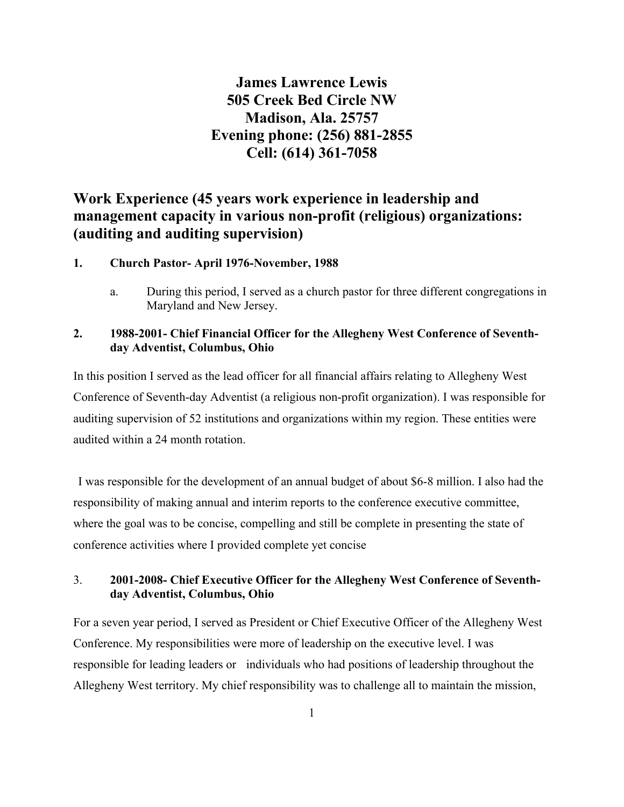# **James Lawrence Lewis 505 Creek Bed Circle NW Madison, Ala. 25757 Evening phone: (256) 881-2855 Cell: (614) 361-7058**

# **Work Experience (45 years work experience in leadership and management capacity in various non-profit (religious) organizations: (auditing and auditing supervision)**

#### **1. Church Pastor- April 1976-November, 1988**

a. During this period, I served as a church pastor for three different congregations in Maryland and New Jersey.

#### **2. 1988-2001- Chief Financial Officer for the Allegheny West Conference of Seventhday Adventist, Columbus, Ohio**

In this position I served as the lead officer for all financial affairs relating to Allegheny West Conference of Seventh-day Adventist (a religious non-profit organization). I was responsible for auditing supervision of 52 institutions and organizations within my region. These entities were audited within a 24 month rotation.

 I was responsible for the development of an annual budget of about \$6-8 million. I also had the responsibility of making annual and interim reports to the conference executive committee, where the goal was to be concise, compelling and still be complete in presenting the state of conference activities where I provided complete yet concise

#### 3. **2001-2008- Chief Executive Officer for the Allegheny West Conference of Seventhday Adventist, Columbus, Ohio**

For a seven year period, I served as President or Chief Executive Officer of the Allegheny West Conference. My responsibilities were more of leadership on the executive level. I was responsible for leading leaders or individuals who had positions of leadership throughout the Allegheny West territory. My chief responsibility was to challenge all to maintain the mission,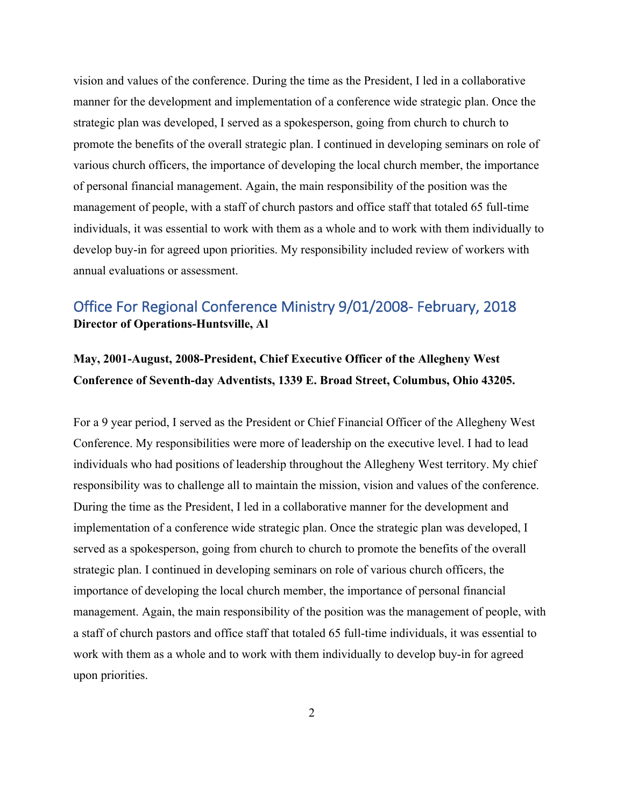vision and values of the conference. During the time as the President, I led in a collaborative manner for the development and implementation of a conference wide strategic plan. Once the strategic plan was developed, I served as a spokesperson, going from church to church to promote the benefits of the overall strategic plan. I continued in developing seminars on role of various church officers, the importance of developing the local church member, the importance of personal financial management. Again, the main responsibility of the position was the management of people, with a staff of church pastors and office staff that totaled 65 full-time individuals, it was essential to work with them as a whole and to work with them individually to develop buy-in for agreed upon priorities. My responsibility included review of workers with annual evaluations or assessment.

### Office For Regional Conference Ministry 9/01/2008- February, 2018 **Director of Operations-Huntsville, Al**

# **May, 2001-August, 2008-President, Chief Executive Officer of the Allegheny West Conference of Seventh-day Adventists, 1339 E. Broad Street, Columbus, Ohio 43205.**

For a 9 year period, I served as the President or Chief Financial Officer of the Allegheny West Conference. My responsibilities were more of leadership on the executive level. I had to lead individuals who had positions of leadership throughout the Allegheny West territory. My chief responsibility was to challenge all to maintain the mission, vision and values of the conference. During the time as the President, I led in a collaborative manner for the development and implementation of a conference wide strategic plan. Once the strategic plan was developed, I served as a spokesperson, going from church to church to promote the benefits of the overall strategic plan. I continued in developing seminars on role of various church officers, the importance of developing the local church member, the importance of personal financial management. Again, the main responsibility of the position was the management of people, with a staff of church pastors and office staff that totaled 65 full-time individuals, it was essential to work with them as a whole and to work with them individually to develop buy-in for agreed upon priorities.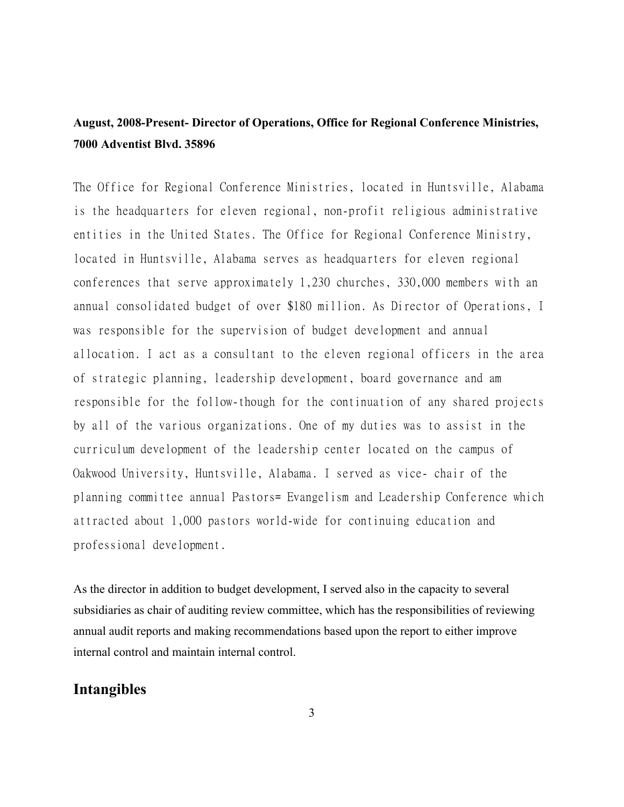# **August, 2008-Present- Director of Operations, Office for Regional Conference Ministries, 7000 Adventist Blvd. 35896**

The Office for Regional Conference Ministries, located in Huntsville, Alabama is the headquarters for eleven regional, non-profit religious administrative entities in the United States. The Office for Regional Conference Ministry, located in Huntsville, Alabama serves as headquarters for eleven regional conferences that serve approximately 1,230 churches, 330,000 members with an annual consolidated budget of over \$180 million. As Director of Operations, I was responsible for the supervision of budget development and annual allocation. I act as a consultant to the eleven regional officers in the area of strategic planning, leadership development, board governance and am responsible for the follow-though for the continuation of any shared projects by all of the various organizations. One of my duties was to assist in the curriculum development of the leadership center located on the campus of Oakwood University, Huntsville, Alabama. I served as vice- chair of the planning committee annual Pastors= Evangelism and Leadership Conference which attracted about 1,000 pastors world-wide for continuing education and professional development.

As the director in addition to budget development, I served also in the capacity to several subsidiaries as chair of auditing review committee, which has the responsibilities of reviewing annual audit reports and making recommendations based upon the report to either improve internal control and maintain internal control.

#### **Intangibles**

3